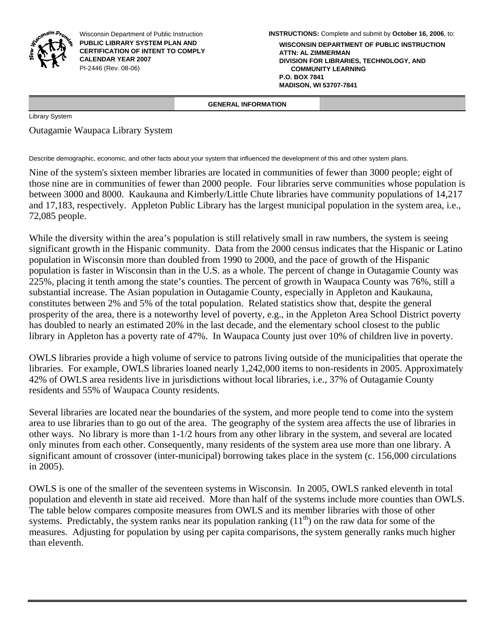

Wisconsin Department of Public Instruction **PUBLIC LIBRARY SYSTEM PLAN AND CERTIFICATION OF INTENT TO COMPLY CALENDAR YEAR 2007**  PI-2446 (Rev. 08-06)

**WISCONSIN DEPARTMENT OF PUBLIC INSTRUCTION ATTN: AL ZIMMERMAN DIVISION FOR LIBRARIES, TECHNOLOGY, AND COMMUNITY LEARNING P.O. BOX 7841 MADISON, WI 53707-7841**

 **GENERAL INFORMATION** 

Library System

Outagamie Waupaca Library System

Describe demographic, economic, and other facts about your system that influenced the development of this and other system plans.

Nine of the system's sixteen member libraries are located in communities of fewer than 3000 people; eight of those nine are in communities of fewer than 2000 people. Four libraries serve communities whose population is between 3000 and 8000. Kaukauna and Kimberly/Little Chute libraries have community populations of 14,217 and 17,183, respectively. Appleton Public Library has the largest municipal population in the system area, i.e., 72,085 people.

While the diversity within the area's population is still relatively small in raw numbers, the system is seeing significant growth in the Hispanic community. Data from the 2000 census indicates that the Hispanic or Latino population in Wisconsin more than doubled from 1990 to 2000, and the pace of growth of the Hispanic population is faster in Wisconsin than in the U.S. as a whole. The percent of change in Outagamie County was 225%, placing it tenth among the state's counties. The percent of growth in Waupaca County was 76%, still a substantial increase. The Asian population in Outagamie County, especially in Appleton and Kaukauna, constitutes between 2% and 5% of the total population. Related statistics show that, despite the general prosperity of the area, there is a noteworthy level of poverty, e.g., in the Appleton Area School District poverty has doubled to nearly an estimated 20% in the last decade, and the elementary school closest to the public library in Appleton has a poverty rate of 47%. In Waupaca County just over 10% of children live in poverty.

OWLS libraries provide a high volume of service to patrons living outside of the municipalities that operate the libraries. For example, OWLS libraries loaned nearly 1,242,000 items to non-residents in 2005. Approximately 42% of OWLS area residents live in jurisdictions without local libraries, i.e., 37% of Outagamie County residents and 55% of Waupaca County residents.

Several libraries are located near the boundaries of the system, and more people tend to come into the system area to use libraries than to go out of the area. The geography of the system area affects the use of libraries in other ways. No library is more than 1-1/2 hours from any other library in the system, and several are located only minutes from each other. Consequently, many residents of the system area use more than one library. A significant amount of crossover (inter-municipal) borrowing takes place in the system (c. 156,000 circulations in 2005).

OWLS is one of the smaller of the seventeen systems in Wisconsin. In 2005, OWLS ranked eleventh in total population and eleventh in state aid received. More than half of the systems include more counties than OWLS. The table below compares composite measures from OWLS and its member libraries with those of other systems. Predictably, the system ranks near its population ranking  $(11<sup>th</sup>)$  on the raw data for some of the measures. Adjusting for population by using per capita comparisons, the system generally ranks much higher than eleventh.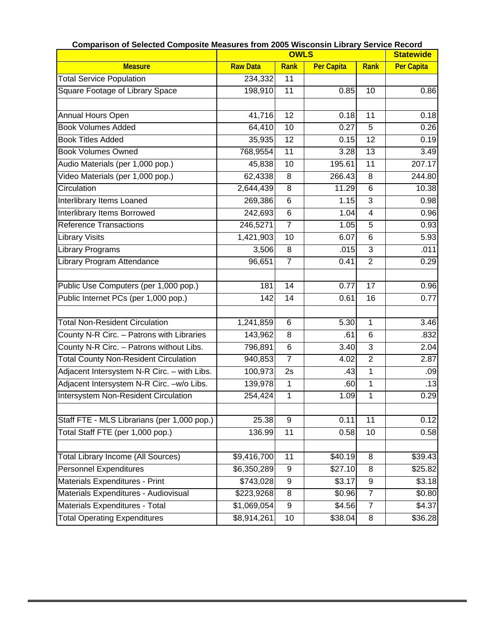|                                              | <b>Comparison of Selected Composite Measures from 2005 Wisconsin Library Service Record</b><br><b>OWLS</b><br><b>Statewide</b> |                  |                   |                  |                   |
|----------------------------------------------|--------------------------------------------------------------------------------------------------------------------------------|------------------|-------------------|------------------|-------------------|
| <b>Measure</b>                               | <b>Raw Data</b>                                                                                                                | <b>Rank</b>      | <b>Per Capita</b> | Rank             | <b>Per Capita</b> |
| <b>Total Service Population</b>              | 234,332                                                                                                                        | 11               |                   |                  |                   |
| Square Footage of Library Space              | 198,910                                                                                                                        | 11               | 0.85              | 10               | 0.86              |
|                                              |                                                                                                                                |                  |                   |                  |                   |
| Annual Hours Open                            | 41,716                                                                                                                         | $\overline{12}$  | 0.18              | 11               | 0.18              |
| <b>Book Volumes Added</b>                    | 64,410                                                                                                                         | 10               | 0.27              | 5                | 0.26              |
| <b>Book Titles Added</b>                     | 35,935                                                                                                                         | $\overline{12}$  | 0.15              | $\overline{12}$  | 0.19              |
| <b>Book Volumes Owned</b>                    | 768,9554                                                                                                                       | 11               | 3.28              | 13               | 3.49              |
| Audio Materials (per 1,000 pop.)             | 45,838                                                                                                                         | 10               | 195.61            | $\overline{11}$  | 207.17            |
| Video Materials (per 1,000 pop.)             | 62,4338                                                                                                                        | 8                | 266.43            | 8                | 244.80            |
| Circulation                                  | 2,644,439                                                                                                                      | $\overline{8}$   | 11.29             | $\overline{6}$   | 10.38             |
| Interlibrary Items Loaned                    | 269,386                                                                                                                        | 6                | 1.15              | $\overline{3}$   | 0.98              |
| <b>Interlibrary Items Borrowed</b>           | 242,693                                                                                                                        | $\overline{6}$   | 1.04              | $\overline{4}$   | 0.96              |
| <b>Reference Transactions</b>                | 246,5271                                                                                                                       | $\overline{7}$   | 1.05              | 5                | 0.93              |
| <b>Library Visits</b>                        | 1,421,903                                                                                                                      | 10               | 6.07              | $\overline{6}$   | 5.93              |
| <b>Library Programs</b>                      | 3,506                                                                                                                          | 8                | .015              | 3                | .011              |
| Library Program Attendance                   | 96,651                                                                                                                         | $\overline{7}$   | 0.41              | $\overline{2}$   | 0.29              |
|                                              |                                                                                                                                |                  |                   |                  |                   |
| Public Use Computers (per 1,000 pop.)        | 181                                                                                                                            | 14               | 0.77              | 17               | 0.96              |
| Public Internet PCs (per 1,000 pop.)         | 142                                                                                                                            | 14               | 0.61              | 16               | 0.77              |
|                                              |                                                                                                                                |                  |                   |                  |                   |
| <b>Total Non-Resident Circulation</b>        | 1,241,859                                                                                                                      | 6                | 5.30              | 1                | 3.46              |
| County N-R Circ. - Patrons with Libraries    | 143,962                                                                                                                        | 8                | .61               | 6                | .832              |
| County N-R Circ. - Patrons without Libs.     | 796,891                                                                                                                        | 6                | 3.40              | $\overline{3}$   | 2.04              |
| <b>Total County Non-Resident Circulation</b> | 940,853                                                                                                                        | $\overline{7}$   | 4.02              | $\overline{2}$   | 2.87              |
| Adjacent Intersystem N-R Circ. - with Libs.  | 100,973                                                                                                                        | 2s               | .43               | 1                | .09               |
| Adjacent Intersystem N-R Circ. - w/o Libs.   | 139,978                                                                                                                        | $\mathbf 1$      | .60               | 1                | .13               |
| Intersystem Non-Resident Circulation         | 254,424                                                                                                                        | 1                | 1.09              | 1                | 0.29              |
|                                              |                                                                                                                                |                  |                   |                  |                   |
| Staff FTE - MLS Librarians (per 1,000 pop.)  | 25.38                                                                                                                          | 9                | 0.11              | $\overline{11}$  | 0.12              |
| Total Staff FTE (per 1,000 pop.)             | 136.99                                                                                                                         | 11               | 0.58              | 10               | 0.58              |
|                                              |                                                                                                                                |                  |                   |                  |                   |
| <b>Total Library Income (All Sources)</b>    | \$9,416,700                                                                                                                    | 11               | \$40.19           | 8                | \$39.43           |
| Personnel Expenditures                       | \$6,350,289                                                                                                                    | 9                | \$27.10           | 8                | \$25.82           |
| Materials Expenditures - Print               | \$743,028                                                                                                                      | $\boldsymbol{9}$ | \$3.17            | $\boldsymbol{9}$ | \$3.18            |
| Materials Expenditures - Audiovisual         | \$223,9268                                                                                                                     | 8                | \$0.96            | $\overline{7}$   | \$0.80            |
| Materials Expenditures - Total               | \$1,069,054                                                                                                                    | 9                | \$4.56            | $\overline{7}$   | \$4.37            |
| <b>Total Operating Expenditures</b>          | \$8,914,261                                                                                                                    | 10               | \$38.04           | 8                | \$36.28           |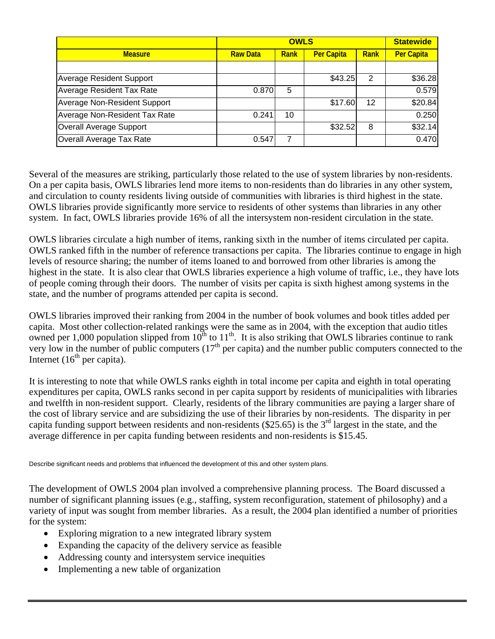|                                 |                 | <b>Statewide</b> |                   |      |                   |
|---------------------------------|-----------------|------------------|-------------------|------|-------------------|
| <b>Measure</b>                  | <b>Raw Data</b> | Rank             | <b>Per Capita</b> | Rank | <b>Per Capita</b> |
|                                 |                 |                  |                   |      |                   |
| <b>Average Resident Support</b> |                 |                  | \$43.25           | 2    | \$36.28           |
| Average Resident Tax Rate       | 0.870           | 5                |                   |      | 0.579             |
| Average Non-Resident Support    |                 |                  | \$17.60           | 12   | \$20.84           |
| Average Non-Resident Tax Rate   | 0.241           | 10               |                   |      | 0.250             |
| Overall Average Support         |                 |                  | \$32.52           | 8    | \$32.14           |
| Overall Average Tax Rate        | 0.547           | 7                |                   |      | 0.470             |

Several of the measures are striking, particularly those related to the use of system libraries by non-residents. On a per capita basis, OWLS libraries lend more items to non-residents than do libraries in any other system, and circulation to county residents living outside of communities with libraries is third highest in the state. OWLS libraries provide significantly more service to residents of other systems than libraries in any other system. In fact, OWLS libraries provide 16% of all the intersystem non-resident circulation in the state.

OWLS libraries circulate a high number of items, ranking sixth in the number of items circulated per capita. OWLS ranked fifth in the number of reference transactions per capita. The libraries continue to engage in high levels of resource sharing; the number of items loaned to and borrowed from other libraries is among the highest in the state. It is also clear that OWLS libraries experience a high volume of traffic, i.e., they have lots of people coming through their doors. The number of visits per capita is sixth highest among systems in the state, and the number of programs attended per capita is second.

OWLS libraries improved their ranking from 2004 in the number of book volumes and book titles added per capita. Most other collection-related rankings were the same as in 2004, with the exception that audio titles owned per 1,000 population slipped from  $10^{th}$  to  $11^{th}$ . It is also striking that OWLS libraries continue to rank very low in the number of public computers  $(17<sup>th</sup>$  per capita) and the number public computers connected to the Internet  $(16<sup>th</sup>$  per capita).

It is interesting to note that while OWLS ranks eighth in total income per capita and eighth in total operating expenditures per capita, OWLS ranks second in per capita support by residents of municipalities with libraries and twelfth in non-resident support. Clearly, residents of the library communities are paying a larger share of the cost of library service and are subsidizing the use of their libraries by non-residents. The disparity in per capita funding support between residents and non-residents (\$25.65) is the  $3<sup>rd</sup>$  largest in the state, and the average difference in per capita funding between residents and non-residents is \$15.45.

Describe significant needs and problems that influenced the development of this and other system plans.

The development of OWLS 2004 plan involved a comprehensive planning process. The Board discussed a number of significant planning issues (e.g., staffing, system reconfiguration, statement of philosophy) and a variety of input was sought from member libraries. As a result, the 2004 plan identified a number of priorities for the system:

- Exploring migration to a new integrated library system
- Expanding the capacity of the delivery service as feasible
- Addressing county and intersystem service inequities
- Implementing a new table of organization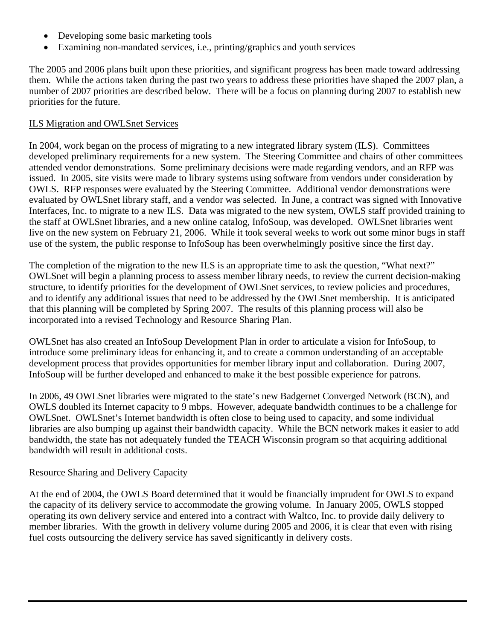- Developing some basic marketing tools
- Examining non-mandated services, i.e., printing/graphics and youth services

The 2005 and 2006 plans built upon these priorities, and significant progress has been made toward addressing them. While the actions taken during the past two years to address these priorities have shaped the 2007 plan, a number of 2007 priorities are described below. There will be a focus on planning during 2007 to establish new priorities for the future.

## ILS Migration and OWLSnet Services

In 2004, work began on the process of migrating to a new integrated library system (ILS). Committees developed preliminary requirements for a new system. The Steering Committee and chairs of other committees attended vendor demonstrations. Some preliminary decisions were made regarding vendors, and an RFP was issued. In 2005, site visits were made to library systems using software from vendors under consideration by OWLS. RFP responses were evaluated by the Steering Committee. Additional vendor demonstrations were evaluated by OWLSnet library staff, and a vendor was selected. In June, a contract was signed with Innovative Interfaces, Inc. to migrate to a new ILS. Data was migrated to the new system, OWLS staff provided training to the staff at OWLSnet libraries, and a new online catalog, InfoSoup, was developed. OWLSnet libraries went live on the new system on February 21, 2006. While it took several weeks to work out some minor bugs in staff use of the system, the public response to InfoSoup has been overwhelmingly positive since the first day.

The completion of the migration to the new ILS is an appropriate time to ask the question, "What next?" OWLSnet will begin a planning process to assess member library needs, to review the current decision-making structure, to identify priorities for the development of OWLSnet services, to review policies and procedures, and to identify any additional issues that need to be addressed by the OWLSnet membership. It is anticipated that this planning will be completed by Spring 2007. The results of this planning process will also be incorporated into a revised Technology and Resource Sharing Plan.

OWLSnet has also created an InfoSoup Development Plan in order to articulate a vision for InfoSoup, to introduce some preliminary ideas for enhancing it, and to create a common understanding of an acceptable development process that provides opportunities for member library input and collaboration. During 2007, InfoSoup will be further developed and enhanced to make it the best possible experience for patrons.

In 2006, 49 OWLSnet libraries were migrated to the state's new Badgernet Converged Network (BCN), and OWLS doubled its Internet capacity to 9 mbps. However, adequate bandwidth continues to be a challenge for OWLSnet. OWLSnet's Internet bandwidth is often close to being used to capacity, and some individual libraries are also bumping up against their bandwidth capacity. While the BCN network makes it easier to add bandwidth, the state has not adequately funded the TEACH Wisconsin program so that acquiring additional bandwidth will result in additional costs.

# Resource Sharing and Delivery Capacity

At the end of 2004, the OWLS Board determined that it would be financially imprudent for OWLS to expand the capacity of its delivery service to accommodate the growing volume. In January 2005, OWLS stopped operating its own delivery service and entered into a contract with Waltco, Inc. to provide daily delivery to member libraries. With the growth in delivery volume during 2005 and 2006, it is clear that even with rising fuel costs outsourcing the delivery service has saved significantly in delivery costs.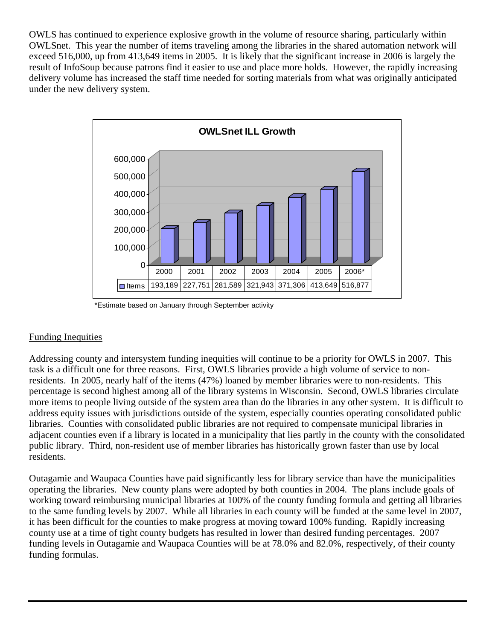OWLS has continued to experience explosive growth in the volume of resource sharing, particularly within OWLSnet. This year the number of items traveling among the libraries in the shared automation network will exceed 516,000, up from 413,649 items in 2005. It is likely that the significant increase in 2006 is largely the result of InfoSoup because patrons find it easier to use and place more holds. However, the rapidly increasing delivery volume has increased the staff time needed for sorting materials from what was originally anticipated under the new delivery system.



\*Estimate based on January through September activity

# Funding Inequities

Addressing county and intersystem funding inequities will continue to be a priority for OWLS in 2007. This task is a difficult one for three reasons. First, OWLS libraries provide a high volume of service to nonresidents. In 2005, nearly half of the items (47%) loaned by member libraries were to non-residents. This percentage is second highest among all of the library systems in Wisconsin. Second, OWLS libraries circulate more items to people living outside of the system area than do the libraries in any other system. It is difficult to address equity issues with jurisdictions outside of the system, especially counties operating consolidated public libraries. Counties with consolidated public libraries are not required to compensate municipal libraries in adjacent counties even if a library is located in a municipality that lies partly in the county with the consolidated public library. Third, non-resident use of member libraries has historically grown faster than use by local residents.

Outagamie and Waupaca Counties have paid significantly less for library service than have the municipalities operating the libraries. New county plans were adopted by both counties in 2004. The plans include goals of working toward reimbursing municipal libraries at 100% of the county funding formula and getting all libraries to the same funding levels by 2007. While all libraries in each county will be funded at the same level in 2007, it has been difficult for the counties to make progress at moving toward 100% funding. Rapidly increasing county use at a time of tight county budgets has resulted in lower than desired funding percentages. 2007 funding levels in Outagamie and Waupaca Counties will be at 78.0% and 82.0%, respectively, of their county funding formulas.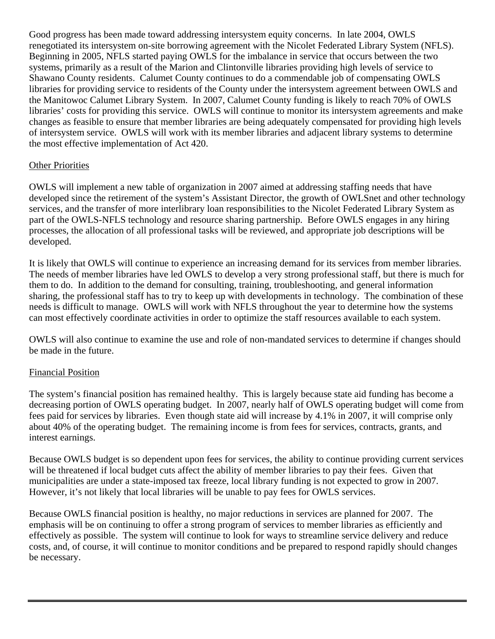Good progress has been made toward addressing intersystem equity concerns. In late 2004, OWLS renegotiated its intersystem on-site borrowing agreement with the Nicolet Federated Library System (NFLS). Beginning in 2005, NFLS started paying OWLS for the imbalance in service that occurs between the two systems, primarily as a result of the Marion and Clintonville libraries providing high levels of service to Shawano County residents. Calumet County continues to do a commendable job of compensating OWLS libraries for providing service to residents of the County under the intersystem agreement between OWLS and the Manitowoc Calumet Library System. In 2007, Calumet County funding is likely to reach 70% of OWLS libraries' costs for providing this service. OWLS will continue to monitor its intersystem agreements and make changes as feasible to ensure that member libraries are being adequately compensated for providing high levels of intersystem service. OWLS will work with its member libraries and adjacent library systems to determine the most effective implementation of Act 420.

# Other Priorities

OWLS will implement a new table of organization in 2007 aimed at addressing staffing needs that have developed since the retirement of the system's Assistant Director, the growth of OWLSnet and other technology services, and the transfer of more interlibrary loan responsibilities to the Nicolet Federated Library System as part of the OWLS-NFLS technology and resource sharing partnership. Before OWLS engages in any hiring processes, the allocation of all professional tasks will be reviewed, and appropriate job descriptions will be developed.

It is likely that OWLS will continue to experience an increasing demand for its services from member libraries. The needs of member libraries have led OWLS to develop a very strong professional staff, but there is much for them to do. In addition to the demand for consulting, training, troubleshooting, and general information sharing, the professional staff has to try to keep up with developments in technology. The combination of these needs is difficult to manage. OWLS will work with NFLS throughout the year to determine how the systems can most effectively coordinate activities in order to optimize the staff resources available to each system.

OWLS will also continue to examine the use and role of non-mandated services to determine if changes should be made in the future.

# Financial Position

The system's financial position has remained healthy. This is largely because state aid funding has become a decreasing portion of OWLS operating budget. In 2007, nearly half of OWLS operating budget will come from fees paid for services by libraries. Even though state aid will increase by 4.1% in 2007, it will comprise only about 40% of the operating budget. The remaining income is from fees for services, contracts, grants, and interest earnings.

Because OWLS budget is so dependent upon fees for services, the ability to continue providing current services will be threatened if local budget cuts affect the ability of member libraries to pay their fees. Given that municipalities are under a state-imposed tax freeze, local library funding is not expected to grow in 2007. However, it's not likely that local libraries will be unable to pay fees for OWLS services.

Because OWLS financial position is healthy, no major reductions in services are planned for 2007. The emphasis will be on continuing to offer a strong program of services to member libraries as efficiently and effectively as possible. The system will continue to look for ways to streamline service delivery and reduce costs, and, of course, it will continue to monitor conditions and be prepared to respond rapidly should changes be necessary.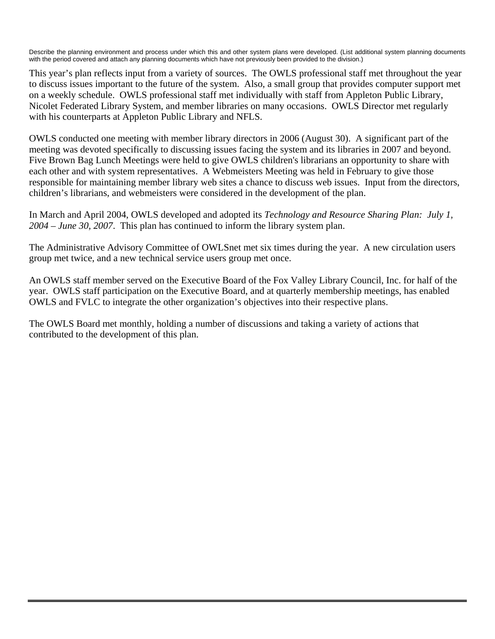Describe the planning environment and process under which this and other system plans were developed. (List additional system planning documents with the period covered and attach any planning documents which have not previously been provided to the division.)

This year's plan reflects input from a variety of sources. The OWLS professional staff met throughout the year to discuss issues important to the future of the system. Also, a small group that provides computer support met on a weekly schedule. OWLS professional staff met individually with staff from Appleton Public Library, Nicolet Federated Library System, and member libraries on many occasions. OWLS Director met regularly with his counterparts at Appleton Public Library and NFLS.

OWLS conducted one meeting with member library directors in 2006 (August 30). A significant part of the meeting was devoted specifically to discussing issues facing the system and its libraries in 2007 and beyond. Five Brown Bag Lunch Meetings were held to give OWLS children's librarians an opportunity to share with each other and with system representatives. A Webmeisters Meeting was held in February to give those responsible for maintaining member library web sites a chance to discuss web issues. Input from the directors, children's librarians, and webmeisters were considered in the development of the plan.

In March and April 2004, OWLS developed and adopted its *Technology and Resource Sharing Plan: July 1, 2004 – June 30, 2007*. This plan has continued to inform the library system plan.

The Administrative Advisory Committee of OWLSnet met six times during the year. A new circulation users group met twice, and a new technical service users group met once.

An OWLS staff member served on the Executive Board of the Fox Valley Library Council, Inc. for half of the year. OWLS staff participation on the Executive Board, and at quarterly membership meetings, has enabled OWLS and FVLC to integrate the other organization's objectives into their respective plans.

The OWLS Board met monthly, holding a number of discussions and taking a variety of actions that contributed to the development of this plan.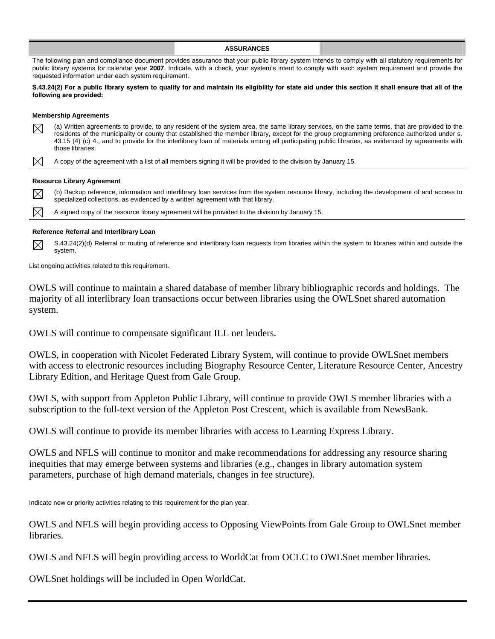|             |                                                                                 | <b>ASSURANCES</b>                                                                                                                                                                                                                                                                                                                                                                                                                                  |  |
|-------------|---------------------------------------------------------------------------------|----------------------------------------------------------------------------------------------------------------------------------------------------------------------------------------------------------------------------------------------------------------------------------------------------------------------------------------------------------------------------------------------------------------------------------------------------|--|
|             | requested information under each system requirement.                            | The following plan and compliance document provides assurance that your public library system intends to comply with all statutory requirements for<br>public library systems for calendar year 2007. Indicate, with a check, your system's intent to comply with each system requirement and provide the                                                                                                                                          |  |
|             | following are provided:                                                         | S.43.24(2) For a public library system to qualify for and maintain its eligibility for state aid under this section it shall ensure that all of the                                                                                                                                                                                                                                                                                                |  |
|             | <b>Membership Agreements</b>                                                    |                                                                                                                                                                                                                                                                                                                                                                                                                                                    |  |
| $\boxtimes$ | those libraries.                                                                | (a) Written agreements to provide, to any resident of the system area, the same library services, on the same terms, that are provided to the<br>residents of the municipality or county that established the member library, except for the group programming preference authorized under s.<br>43.15 (4) (c) 4., and to provide for the interlibrary loan of materials among all participating public libraries, as evidenced by agreements with |  |
| $\boxtimes$ |                                                                                 | A copy of the agreement with a list of all members signing it will be provided to the division by January 15.                                                                                                                                                                                                                                                                                                                                      |  |
|             | <b>Resource Library Agreement</b>                                               |                                                                                                                                                                                                                                                                                                                                                                                                                                                    |  |
| $\boxtimes$ | specialized collections, as evidenced by a written agreement with that library. | (b) Backup reference, information and interlibrary loan services from the system resource library, including the development of and access to                                                                                                                                                                                                                                                                                                      |  |
| $\boxtimes$ |                                                                                 | A signed copy of the resource library agreement will be provided to the division by January 15.                                                                                                                                                                                                                                                                                                                                                    |  |
|             |                                                                                 |                                                                                                                                                                                                                                                                                                                                                                                                                                                    |  |

## **Reference Referral and Interlibrary Loan**

S.43.24(2)(d) Referral or routing of reference and interlibrary loan requests from libraries within the system to libraries within and outside the  $\boxtimes$ system.

List ongoing activities related to this requirement.

OWLS will continue to maintain a shared database of member library bibliographic records and holdings. The majority of all interlibrary loan transactions occur between libraries using the OWLSnet shared automation system.

OWLS will continue to compensate significant ILL net lenders.

OWLS, in cooperation with Nicolet Federated Library System, will continue to provide OWLSnet members with access to electronic resources including Biography Resource Center, Literature Resource Center, Ancestry Library Edition, and Heritage Quest from Gale Group.

OWLS, with support from Appleton Public Library, will continue to provide OWLS member libraries with a subscription to the full-text version of the Appleton Post Crescent, which is available from NewsBank.

OWLS will continue to provide its member libraries with access to Learning Express Library.

OWLS and NFLS will continue to monitor and make recommendations for addressing any resource sharing inequities that may emerge between systems and libraries (e.g., changes in library automation system parameters, purchase of high demand materials, changes in fee structure).

Indicate new or priority activities relating to this requirement for the plan year.

OWLS and NFLS will begin providing access to Opposing ViewPoints from Gale Group to OWLSnet member libraries.

OWLS and NFLS will begin providing access to WorldCat from OCLC to OWLSnet member libraries.

OWLSnet holdings will be included in Open WorldCat.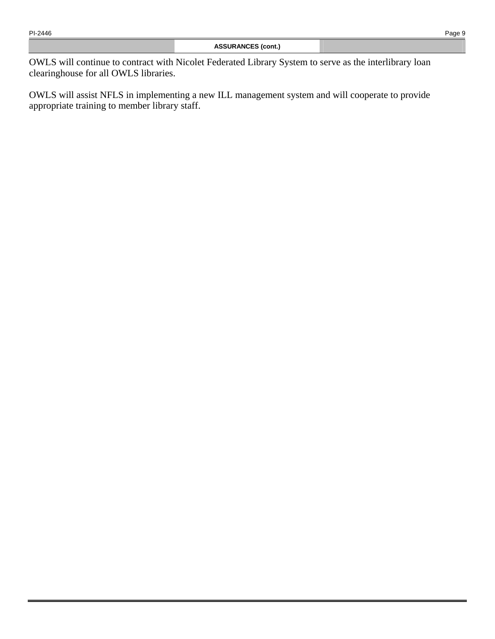OWLS will continue to contract with Nicolet Federated Library System to serve as the interlibrary loan clearinghouse for all OWLS libraries.

OWLS will assist NFLS in implementing a new ILL management system and will cooperate to provide appropriate training to member library staff.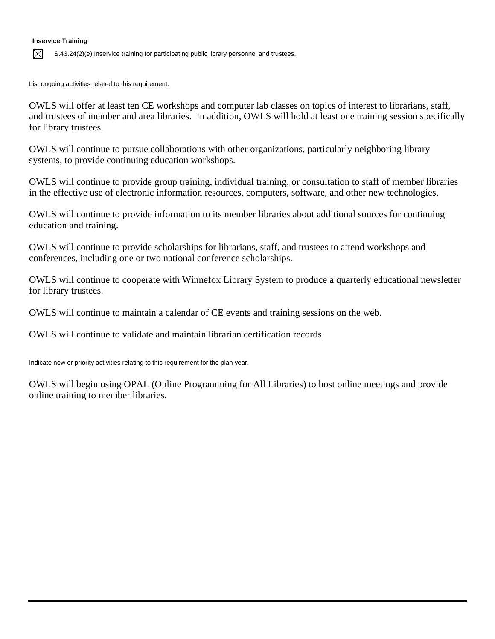## **Inservice Training**

 $\boxtimes$ S.43.24(2)(e) Inservice training for participating public library personnel and trustees.

List ongoing activities related to this requirement.

OWLS will offer at least ten CE workshops and computer lab classes on topics of interest to librarians, staff, and trustees of member and area libraries. In addition, OWLS will hold at least one training session specifically for library trustees.

OWLS will continue to pursue collaborations with other organizations, particularly neighboring library systems, to provide continuing education workshops.

OWLS will continue to provide group training, individual training, or consultation to staff of member libraries in the effective use of electronic information resources, computers, software, and other new technologies.

OWLS will continue to provide information to its member libraries about additional sources for continuing education and training.

OWLS will continue to provide scholarships for librarians, staff, and trustees to attend workshops and conferences, including one or two national conference scholarships.

OWLS will continue to cooperate with Winnefox Library System to produce a quarterly educational newsletter for library trustees.

OWLS will continue to maintain a calendar of CE events and training sessions on the web.

OWLS will continue to validate and maintain librarian certification records.

Indicate new or priority activities relating to this requirement for the plan year.

OWLS will begin using OPAL (Online Programming for All Libraries) to host online meetings and provide online training to member libraries.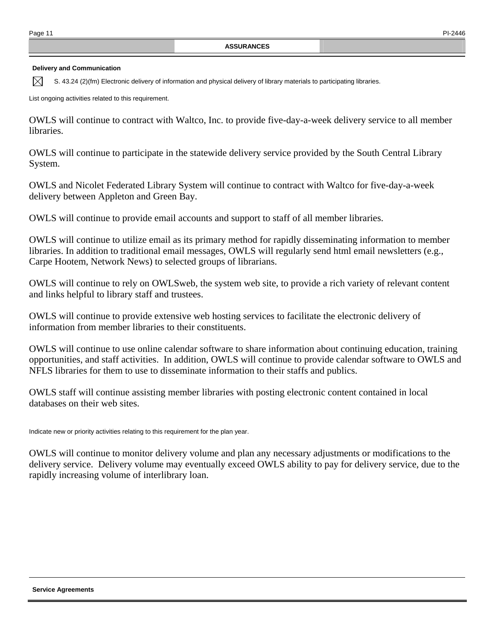### **Delivery and Communication**

 $\boxtimes$ S. 43.24 (2)(fm) Electronic delivery of information and physical delivery of library materials to participating libraries.

List ongoing activities related to this requirement.

OWLS will continue to contract with Waltco, Inc. to provide five-day-a-week delivery service to all member libraries.

OWLS will continue to participate in the statewide delivery service provided by the South Central Library System.

OWLS and Nicolet Federated Library System will continue to contract with Waltco for five-day-a-week delivery between Appleton and Green Bay.

OWLS will continue to provide email accounts and support to staff of all member libraries.

OWLS will continue to utilize email as its primary method for rapidly disseminating information to member libraries. In addition to traditional email messages, OWLS will regularly send html email newsletters (e.g., Carpe Hootem, Network News) to selected groups of librarians.

OWLS will continue to rely on OWLSweb, the system web site, to provide a rich variety of relevant content and links helpful to library staff and trustees.

OWLS will continue to provide extensive web hosting services to facilitate the electronic delivery of information from member libraries to their constituents.

OWLS will continue to use online calendar software to share information about continuing education, training opportunities, and staff activities. In addition, OWLS will continue to provide calendar software to OWLS and NFLS libraries for them to use to disseminate information to their staffs and publics.

OWLS staff will continue assisting member libraries with posting electronic content contained in local databases on their web sites.

Indicate new or priority activities relating to this requirement for the plan year.

OWLS will continue to monitor delivery volume and plan any necessary adjustments or modifications to the delivery service. Delivery volume may eventually exceed OWLS ability to pay for delivery service, due to the rapidly increasing volume of interlibrary loan.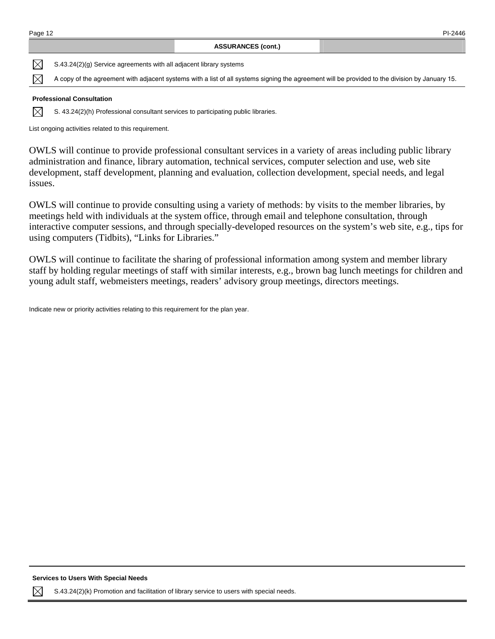| Page 12 | PI-2446 |
|---------|---------|
|         |         |

 $\boxtimes$ S.43.24(2)(g) Service agreements with all adjacent library systems

 $\boxtimes$ A copy of the agreement with adjacent systems with a list of all systems signing the agreement will be provided to the division by January 15.

### **Professional Consultation**

 $\boxtimes$ S. 43.24(2)(h) Professional consultant services to participating public libraries.

List ongoing activities related to this requirement.

OWLS will continue to provide professional consultant services in a variety of areas including public library administration and finance, library automation, technical services, computer selection and use, web site development, staff development, planning and evaluation, collection development, special needs, and legal issues.

OWLS will continue to provide consulting using a variety of methods: by visits to the member libraries, by meetings held with individuals at the system office, through email and telephone consultation, through interactive computer sessions, and through specially-developed resources on the system's web site, e.g., tips for using computers (Tidbits), "Links for Libraries."

OWLS will continue to facilitate the sharing of professional information among system and member library staff by holding regular meetings of staff with similar interests, e.g., brown bag lunch meetings for children and young adult staff, webmeisters meetings, readers' advisory group meetings, directors meetings.

Indicate new or priority activities relating to this requirement for the plan year.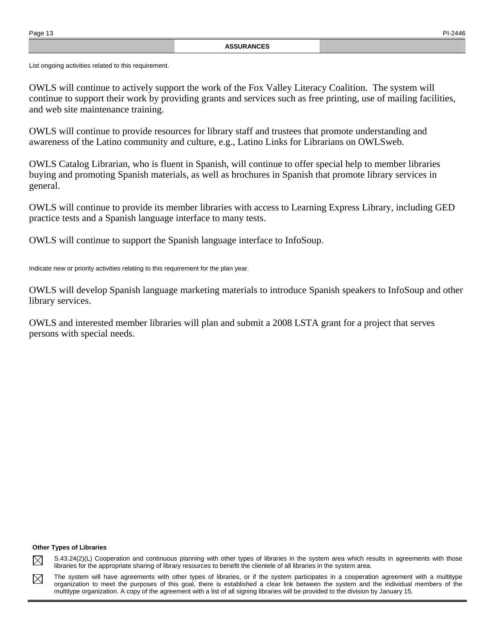List ongoing activities related to this requirement.

OWLS will continue to actively support the work of the Fox Valley Literacy Coalition. The system will continue to support their work by providing grants and services such as free printing, use of mailing facilities, and web site maintenance training.

OWLS will continue to provide resources for library staff and trustees that promote understanding and awareness of the Latino community and culture, e.g., Latino Links for Librarians on OWLSweb.

OWLS Catalog Librarian, who is fluent in Spanish, will continue to offer special help to member libraries buying and promoting Spanish materials, as well as brochures in Spanish that promote library services in general.

OWLS will continue to provide its member libraries with access to Learning Express Library, including GED practice tests and a Spanish language interface to many tests.

OWLS will continue to support the Spanish language interface to InfoSoup.

Indicate new or priority activities relating to this requirement for the plan year.

OWLS will develop Spanish language marketing materials to introduce Spanish speakers to InfoSoup and other library services.

OWLS and interested member libraries will plan and submit a 2008 LSTA grant for a project that serves persons with special needs.

#### **Other Types of Libraries**

S.43.24(2)(L) Cooperation and continuous planning with other types of libraries in the system area which results in agreements with those  $\boxtimes$ libraries for the appropriate sharing of library resources to benefit the clientele of all libraries in the system area.

The system will have agreements with other types of libraries, or if the system participates in a cooperation agreement with a multitype  $\boxtimes$ organization to meet the purposes of this goal, there is established a clear link between the system and the individual members of the multitype organization. A copy of the agreement with a list of all signing libraries will be provided to the division by January 15.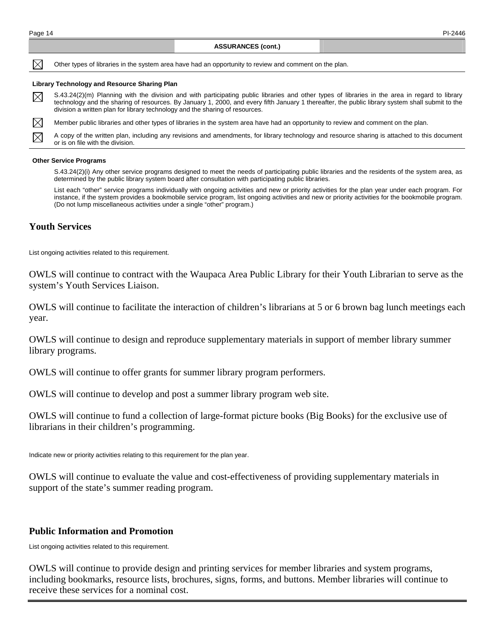$\bowtie$  $\boxtimes$ 

#### **ASSURANCES (cont.)**

 $\boxtimes$ Other types of libraries in the system area have had an opportunity to review and comment on the plan.

#### **Library Technology and Resource Sharing Plan**

S.43.24(2)(m) Planning with the division and with participating public libraries and other types of libraries in the area in regard to library  $\boxtimes$ technology and the sharing of resources. By January 1, 2000, and every fifth January 1 thereafter, the public library system shall submit to the division a written plan for library technology and the sharing of resources.

Member public libraries and other types of libraries in the system area have had an opportunity to review and comment on the plan.

A copy of the written plan, including any revisions and amendments, for library technology and resource sharing is attached to this document or is on file with the division.

#### **Other Service Programs**

 S.43.24(2)(i) Any other service programs designed to meet the needs of participating public libraries and the residents of the system area, as determined by the public library system board after consultation with participating public libraries.

 List each "other" service programs individually with ongoing activities and new or priority activities for the plan year under each program. For instance, if the system provides a bookmobile service program, list ongoing activities and new or priority activities for the bookmobile program. (Do not lump miscellaneous activities under a single "other" program.)

## **Youth Services**

List ongoing activities related to this requirement.

OWLS will continue to contract with the Waupaca Area Public Library for their Youth Librarian to serve as the system's Youth Services Liaison.

OWLS will continue to facilitate the interaction of children's librarians at 5 or 6 brown bag lunch meetings each year.

OWLS will continue to design and reproduce supplementary materials in support of member library summer library programs.

OWLS will continue to offer grants for summer library program performers.

OWLS will continue to develop and post a summer library program web site.

OWLS will continue to fund a collection of large-format picture books (Big Books) for the exclusive use of librarians in their children's programming.

Indicate new or priority activities relating to this requirement for the plan year.

OWLS will continue to evaluate the value and cost-effectiveness of providing supplementary materials in support of the state's summer reading program.

### **Public Information and Promotion**

List ongoing activities related to this requirement.

OWLS will continue to provide design and printing services for member libraries and system programs, including bookmarks, resource lists, brochures, signs, forms, and buttons. Member libraries will continue to receive these services for a nominal cost.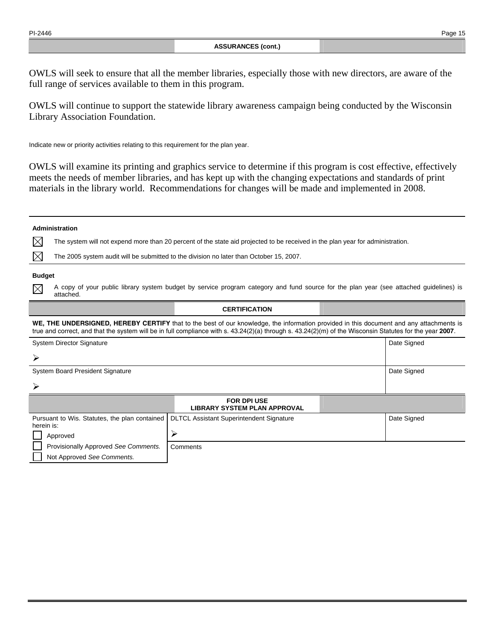**Administration** 

OWLS will seek to ensure that all the member libraries, especially those with new directors, are aware of the full range of services available to them in this program.

OWLS will continue to support the statewide library awareness campaign being conducted by the Wisconsin Library Association Foundation.

Indicate new or priority activities relating to this requirement for the plan year.

OWLS will examine its printing and graphics service to determine if this program is cost effective, effectively meets the needs of member libraries, and has kept up with the changing expectations and standards of print materials in the library world. Recommendations for changes will be made and implemented in 2008.

### $\boxtimes$ The system will not expend more than 20 percent of the state aid projected to be received in the plan year for administration.  $\boxtimes$ The 2005 system audit will be submitted to the division no later than October 15, 2007. **Budget**  A copy of your public library system budget by service program category and fund source for the plan year (see attached guidelines) is  $\boxtimes$ attached.

### **CERTIFICATION**

**WE, THE UNDERSIGNED, HEREBY CERTIFY** that to the best of our knowledge, the information provided in this document and any attachments is true and correct, and that the system will be in full compliance with s. 43.24(2)(a) through s. 43.24(2)(m) of the Wisconsin Statutes for the year **2007**.

| <b>System Director Signature</b>                            |                                                           | Date Signed |
|-------------------------------------------------------------|-----------------------------------------------------------|-------------|
| ≻                                                           |                                                           |             |
| <b>System Board President Signature</b>                     |                                                           | Date Signed |
| $\blacktriangleright$                                       |                                                           |             |
|                                                             | <b>FOR DPI USE</b><br><b>LIBRARY SYSTEM PLAN APPROVAL</b> |             |
| Pursuant to Wis. Statutes, the plan contained<br>herein is: | <b>DLTCL Assistant Superintendent Signature</b>           | Date Signed |
| Approved                                                    | ⋗                                                         |             |
| Provisionally Approved See Comments.                        | Comments                                                  |             |
| Not Approved See Comments.                                  |                                                           |             |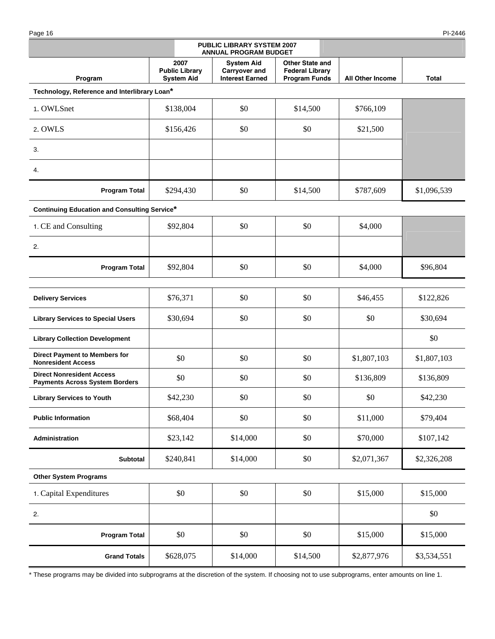Page 16 PI-2446

|                                                                           |                                                    | PUBLIC LIBRARY SYSTEM 2007<br><b>ANNUAL PROGRAM BUDGET</b>   |                                                                          |                         |             |
|---------------------------------------------------------------------------|----------------------------------------------------|--------------------------------------------------------------|--------------------------------------------------------------------------|-------------------------|-------------|
| Program                                                                   | 2007<br><b>Public Library</b><br><b>System Aid</b> | <b>System Aid</b><br>Carryover and<br><b>Interest Earned</b> | <b>Other State and</b><br><b>Federal Library</b><br><b>Program Funds</b> | <b>All Other Income</b> | Total       |
| Technology, Reference and Interlibrary Loan*                              |                                                    |                                                              |                                                                          |                         |             |
| 1. OWLSnet                                                                | \$138,004                                          | \$0                                                          | \$14,500                                                                 | \$766,109               |             |
| 2. OWLS                                                                   | \$156,426                                          | \$0                                                          | \$0                                                                      | \$21,500                |             |
| 3.                                                                        |                                                    |                                                              |                                                                          |                         |             |
| 4.                                                                        |                                                    |                                                              |                                                                          |                         |             |
| <b>Program Total</b>                                                      | \$294,430                                          | \$0                                                          | \$14,500                                                                 | \$787,609               | \$1,096,539 |
| <b>Continuing Education and Consulting Service*</b>                       |                                                    |                                                              |                                                                          |                         |             |
| 1. CE and Consulting                                                      | \$92,804                                           | \$0                                                          | \$0                                                                      | \$4,000                 |             |
| 2.                                                                        |                                                    |                                                              |                                                                          |                         |             |
| <b>Program Total</b>                                                      | \$92,804                                           | \$0                                                          | \$0                                                                      | \$4,000                 | \$96,804    |
| <b>Delivery Services</b>                                                  | \$76,371                                           | \$0                                                          | \$0                                                                      | \$46,455                | \$122,826   |
| <b>Library Services to Special Users</b>                                  | \$30,694                                           | \$0                                                          | \$0                                                                      | \$0                     | \$30,694    |
| <b>Library Collection Development</b>                                     |                                                    |                                                              |                                                                          |                         | \$0         |
| <b>Direct Payment to Members for</b><br><b>Nonresident Access</b>         | \$0                                                | \$0                                                          | \$0                                                                      | \$1,807,103             | \$1,807,103 |
| <b>Direct Nonresident Access</b><br><b>Payments Across System Borders</b> | \$0                                                | \$0                                                          | \$0                                                                      | \$136,809               | \$136,809   |
| <b>Library Services to Youth</b>                                          | \$42,230                                           | \$0                                                          | \$0                                                                      | \$0                     | \$42,230    |
| <b>Public Information</b>                                                 | \$68,404                                           | \$0                                                          | \$0                                                                      | \$11,000                | \$79,404    |
| Administration                                                            | \$23,142                                           | \$14,000                                                     | \$0                                                                      | \$70,000                | \$107,142   |
| Subtotal                                                                  | \$240,841                                          | \$14,000                                                     | \$0                                                                      | \$2,071,367             | \$2,326,208 |
| <b>Other System Programs</b>                                              |                                                    |                                                              |                                                                          |                         |             |
| 1. Capital Expenditures                                                   | \$0                                                | \$0                                                          | \$0                                                                      | \$15,000                | \$15,000    |
| 2.                                                                        |                                                    |                                                              |                                                                          |                         | \$0         |
| <b>Program Total</b>                                                      | \$0                                                | \$0                                                          | \$0                                                                      | \$15,000                | \$15,000    |
| <b>Grand Totals</b>                                                       | \$628,075                                          | \$14,000                                                     | \$14,500                                                                 | \$2,877,976             | \$3,534,551 |

\* These programs may be divided into subprograms at the discretion of the system. If choosing not to use subprograms, enter amounts on line 1.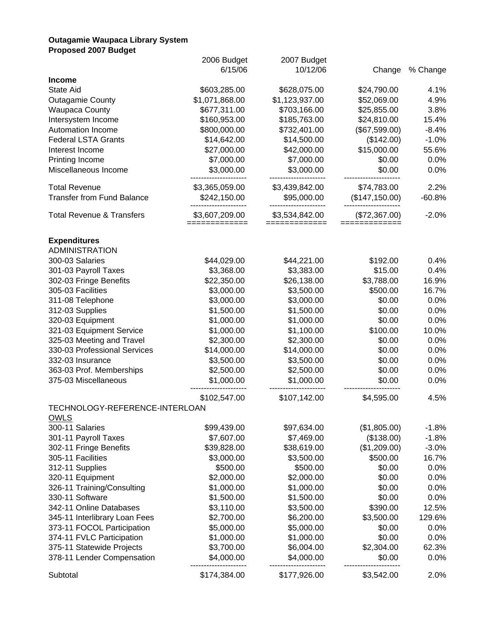## **Outagamie Waupaca Library System Proposed 2007 Budget**

| i Tupus <del>c</del> u zuur Duuyci   |                                 |                                 |                |          |
|--------------------------------------|---------------------------------|---------------------------------|----------------|----------|
|                                      | 2006 Budget                     | 2007 Budget                     |                |          |
|                                      | 6/15/06                         | 10/12/06                        | Change         | % Change |
| <b>Income</b>                        |                                 |                                 |                |          |
| State Aid                            | \$603,285.00                    | \$628,075.00                    | \$24,790.00    | 4.1%     |
| <b>Outagamie County</b>              | \$1,071,868.00                  | \$1,123,937.00                  | \$52,069.00    | 4.9%     |
| <b>Waupaca County</b>                | \$677,311.00                    | \$703,166.00                    | \$25,855.00    | 3.8%     |
| Intersystem Income                   | \$160,953.00                    | \$185,763.00                    | \$24,810.00    | 15.4%    |
| Automation Income                    | \$800,000.00                    | \$732,401.00                    | (\$67,599.00)  | $-8.4%$  |
| <b>Federal LSTA Grants</b>           | \$14,642.00                     | \$14,500.00                     | (\$142.00)     | $-1.0%$  |
| Interest Income                      | \$27,000.00                     | \$42,000.00                     | \$15,000.00    | 55.6%    |
| Printing Income                      | \$7,000.00                      | \$7,000.00                      | \$0.00         | 0.0%     |
| Miscellaneous Income                 | \$3,000.00                      | \$3,000.00                      | \$0.00         | 0.0%     |
| <b>Total Revenue</b>                 | \$3,365,059.00                  | \$3,439,842.00                  | \$74,783.00    | 2.2%     |
| <b>Transfer from Fund Balance</b>    | \$242,150.00                    | \$95,000.00                     | (\$147,150.00) | $-60.8%$ |
| <b>Total Revenue &amp; Transfers</b> | \$3,607,209.00<br>============= | \$3,534,842.00<br>============= | (\$72,367.00)  | $-2.0%$  |
| <b>Expenditures</b>                  |                                 |                                 |                |          |
| <b>ADMINISTRATION</b>                |                                 |                                 |                |          |
| 300-03 Salaries                      | \$44,029.00                     | \$44,221.00                     | \$192.00       | 0.4%     |
| 301-03 Payroll Taxes                 | \$3,368.00                      | \$3,383.00                      | \$15.00        | 0.4%     |
| 302-03 Fringe Benefits               | \$22,350.00                     | \$26,138.00                     | \$3,788.00     | 16.9%    |
| 305-03 Facilities                    | \$3,000.00                      | \$3,500.00                      | \$500.00       | 16.7%    |
| 311-08 Telephone                     | \$3,000.00                      | \$3,000.00                      | \$0.00         | 0.0%     |
| 312-03 Supplies                      | \$1,500.00                      | \$1,500.00                      | \$0.00         | 0.0%     |
| 320-03 Equipment                     | \$1,000.00                      | \$1,000.00                      | \$0.00         | 0.0%     |
| 321-03 Equipment Service             | \$1,000.00                      | \$1,100.00                      | \$100.00       | 10.0%    |
| 325-03 Meeting and Travel            | \$2,300.00                      | \$2,300.00                      | \$0.00         | 0.0%     |
| 330-03 Professional Services         | \$14,000.00                     | \$14,000.00                     | \$0.00         | 0.0%     |
| 332-03 Insurance                     | \$3,500.00                      | \$3,500.00                      | \$0.00         | 0.0%     |
| 363-03 Prof. Memberships             | \$2,500.00                      | \$2,500.00                      | \$0.00         | 0.0%     |
| 375-03 Miscellaneous                 | \$1,000.00                      | \$1,000.00                      | \$0.00         | 0.0%     |
|                                      | \$102,547.00                    | \$107,142.00                    | \$4,595.00     | 4.5%     |
| TECHNOLOGY-REFERENCE-INTERLOAN       |                                 |                                 |                |          |
| <b>OWLS</b><br>300-11 Salaries       | \$99,439.00                     | \$97,634.00                     | (\$1,805.00)   | $-1.8%$  |
| 301-11 Payroll Taxes                 | \$7,607.00                      | \$7,469.00                      | (\$138.00)     | $-1.8%$  |
| 302-11 Fringe Benefits               | \$39,828.00                     | \$38,619.00                     | (\$1,209.00)   | $-3.0%$  |
| 305-11 Facilities                    | \$3,000.00                      | \$3,500.00                      | \$500.00       | 16.7%    |
| 312-11 Supplies                      | \$500.00                        | \$500.00                        | \$0.00         | 0.0%     |
| 320-11 Equipment                     | \$2,000.00                      | \$2,000.00                      | \$0.00         | 0.0%     |
| 326-11 Training/Consulting           | \$1,000.00                      | \$1,000.00                      | \$0.00         | 0.0%     |
| 330-11 Software                      | \$1,500.00                      | \$1,500.00                      | \$0.00         | 0.0%     |
| 342-11 Online Databases              | \$3,110.00                      | \$3,500.00                      | \$390.00       | 12.5%    |
| 345-11 Interlibrary Loan Fees        | \$2,700.00                      | \$6,200.00                      | \$3,500.00     | 129.6%   |
| 373-11 FOCOL Participation           | \$5,000.00                      | \$5,000.00                      | \$0.00         | 0.0%     |
| 374-11 FVLC Participation            | \$1,000.00                      | \$1,000.00                      | \$0.00         | 0.0%     |
| 375-11 Statewide Projects            | \$3,700.00                      | \$6,004.00                      | \$2,304.00     | 62.3%    |
| 378-11 Lender Compensation           | \$4,000.00                      | \$4,000.00                      | \$0.00         | 0.0%     |
| Subtotal                             | \$174,384.00                    | \$177,926.00                    | \$3,542.00     | 2.0%     |
|                                      |                                 |                                 |                |          |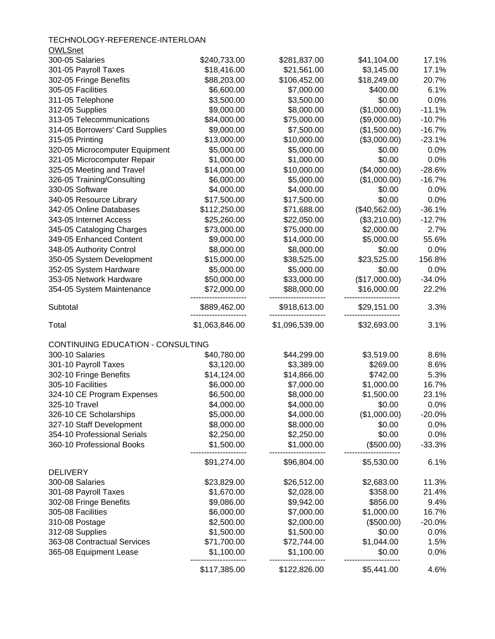TECHNOLOGY-REFERENCE-INTERLOAN  $Q$ WLSnot

| OMESHEL                           |                |                |               |           |
|-----------------------------------|----------------|----------------|---------------|-----------|
| 300-05 Salaries                   | \$240,733.00   | \$281,837.00   | \$41,104.00   | 17.1%     |
| 301-05 Payroll Taxes              | \$18,416.00    | \$21,561.00    | \$3,145.00    | 17.1%     |
| 302-05 Fringe Benefits            | \$88,203.00    | \$106,452.00   | \$18,249.00   | 20.7%     |
| 305-05 Facilities                 | \$6,600.00     | \$7,000.00     | \$400.00      | 6.1%      |
| 311-05 Telephone                  | \$3,500.00     | \$3,500.00     | \$0.00        | 0.0%      |
| 312-05 Supplies                   | \$9,000.00     | \$8,000.00     | (\$1,000.00)  | $-11.1%$  |
| 313-05 Telecommunications         | \$84,000.00    | \$75,000.00    | (\$9,000.00)  | $-10.7%$  |
| 314-05 Borrowers' Card Supplies   | \$9,000.00     | \$7,500.00     | (\$1,500.00)  | $-16.7%$  |
| 315-05 Printing                   | \$13,000.00    | \$10,000.00    | (\$3,000.00)  | $-23.1%$  |
| 320-05 Microcomputer Equipment    | \$5,000.00     | \$5,000.00     | \$0.00        | 0.0%      |
| 321-05 Microcomputer Repair       | \$1,000.00     | \$1,000.00     | \$0.00        | 0.0%      |
| 325-05 Meeting and Travel         | \$14,000.00    | \$10,000.00    | (\$4,000.00)  | $-28.6%$  |
| 326-05 Training/Consulting        | \$6,000.00     | \$5,000.00     | (\$1,000.00)  | $-16.7%$  |
| 330-05 Software                   | \$4,000.00     | \$4,000.00     | \$0.00        | 0.0%      |
| 340-05 Resource Library           | \$17,500.00    | \$17,500.00    | \$0.00        | 0.0%      |
| 342-05 Online Databases           | \$112,250.00   | \$71,688.00    | (\$40,562.00) | $-36.1%$  |
| 343-05 Internet Access            | \$25,260.00    | \$22,050.00    | (\$3,210.00)  | $-12.7%$  |
| 345-05 Cataloging Charges         | \$73,000.00    | \$75,000.00    | \$2,000.00    | 2.7%      |
| 349-05 Enhanced Content           | \$9,000.00     | \$14,000.00    | \$5,000.00    | 55.6%     |
| 348-05 Authority Control          | \$8,000.00     | \$8,000.00     | \$0.00        | 0.0%      |
| 350-05 System Development         | \$15,000.00    | \$38,525.00    | \$23,525.00   | 156.8%    |
| 352-05 System Hardware            | \$5,000.00     | \$5,000.00     | \$0.00        | 0.0%      |
| 353-05 Network Hardware           | \$50,000.00    | \$33,000.00    | (\$17,000.00) | $-34.0%$  |
| 354-05 System Maintenance         | \$72,000.00    | \$88,000.00    | \$16,000.00   | 22.2%     |
| Subtotal                          | \$889,462.00   | \$918,613.00   | \$29,151.00   | 3.3%      |
| Total                             | \$1,063,846.00 | \$1,096,539.00 | \$32,693.00   | 3.1%      |
| CONTINUING EDUCATION - CONSULTING |                |                |               |           |
| 300-10 Salaries                   | \$40,780.00    | \$44,299.00    | \$3,519.00    | 8.6%      |
| 301-10 Payroll Taxes              | \$3,120.00     | \$3,389.00     | \$269.00      | 8.6%      |
| 302-10 Fringe Benefits            | \$14,124.00    | \$14,866.00    | \$742.00      | 5.3%      |
| 305-10 Facilities                 | \$6,000.00     | \$7,000.00     | \$1,000.00    | 16.7%     |
| 324-10 CE Program Expenses        | \$6,500.00     | \$8,000.00     | \$1,500.00    | 23.1%     |
| 325-10 Travel                     | \$4,000.00     | \$4,000.00     | \$0.00        | 0.0%      |
| 326-10 CE Scholarships            | \$5,000.00     | \$4,000.00     | (\$1,000.00)  | $-20.0\%$ |
| 327-10 Staff Development          | \$8,000.00     | \$8,000.00     | \$0.00        | 0.0%      |
| 354-10 Professional Serials       | \$2,250.00     | \$2,250.00     | \$0.00        | 0.0%      |
| 360-10 Professional Books         | \$1,500.00     | \$1,000.00     | (\$500.00)    | $-33.3%$  |
|                                   | \$91,274.00    | \$96,804.00    | \$5,530.00    | 6.1%      |
| <b>DELIVERY</b>                   |                |                |               |           |
| 300-08 Salaries                   | \$23,829.00    | \$26,512.00    | \$2,683.00    | 11.3%     |
| 301-08 Payroll Taxes              | \$1,670.00     | \$2,028.00     | \$358.00      | 21.4%     |
| 302-08 Fringe Benefits            | \$9,086.00     | \$9,942.00     | \$856.00      | 9.4%      |
| 305-08 Facilities                 | \$6,000.00     | \$7,000.00     | \$1,000.00    | 16.7%     |
| 310-08 Postage                    | \$2,500.00     | \$2,000.00     | (\$500.00)    | $-20.0%$  |
| 312-08 Supplies                   | \$1,500.00     | \$1,500.00     | \$0.00        | 0.0%      |
| 363-08 Contractual Services       | \$71,700.00    | \$72,744.00    | \$1,044.00    | 1.5%      |
| 365-08 Equipment Lease            | \$1,100.00     | \$1,100.00     | \$0.00        | 0.0%      |
|                                   | \$117,385.00   | \$122,826.00   | \$5,441.00    | 4.6%      |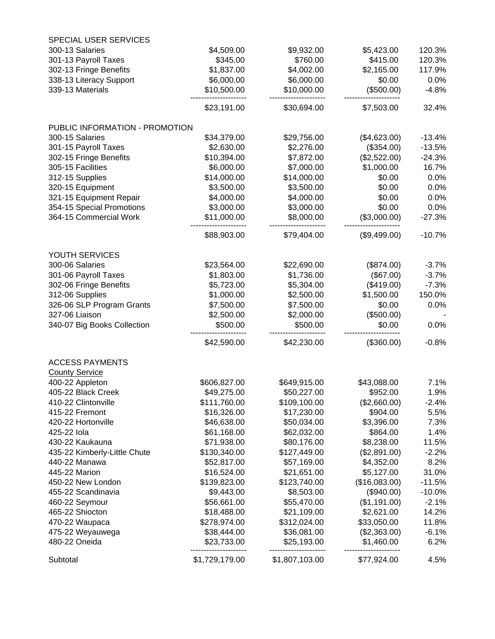| <b>SPECIAL USER SERVICES</b>      |                            |                            |                            |                 |
|-----------------------------------|----------------------------|----------------------------|----------------------------|-----------------|
| 300-13 Salaries                   | \$4,509.00                 | \$9,932.00                 | \$5,423.00                 | 120.3%          |
| 301-13 Payroll Taxes              | \$345.00                   | \$760.00                   | \$415.00                   | 120.3%          |
| 302-13 Fringe Benefits            | \$1,837.00                 | \$4,002.00                 | \$2,165.00                 | 117.9%          |
| 338-13 Literacy Support           | \$6,000.00                 | \$6,000.00                 | \$0.00                     | 0.0%            |
| 339-13 Materials                  | \$10,500.00                | \$10,000.00                | (\$500.00)                 | $-4.8%$         |
|                                   | \$23,191.00                | \$30,694.00                | \$7,503.00                 | 32.4%           |
| PUBLIC INFORMATION - PROMOTION    |                            |                            |                            |                 |
| 300-15 Salaries                   | \$34,379.00                | \$29,756.00                | (\$4,623.00)               | $-13.4%$        |
| 301-15 Payroll Taxes              | \$2,630.00                 | \$2,276.00                 | (\$354.00)                 | $-13.5%$        |
| 302-15 Fringe Benefits            | \$10,394.00                | \$7,872.00                 | (\$2,522.00)               | $-24.3%$        |
| 305-15 Facilities                 | \$6,000.00                 | \$7,000.00                 | \$1,000.00                 | 16.7%           |
| 312-15 Supplies                   | \$14,000.00                | \$14,000.00                | \$0.00                     | 0.0%            |
| 320-15 Equipment                  | \$3,500.00                 | \$3,500.00                 | \$0.00                     | 0.0%            |
| 321-15 Equipment Repair           | \$4,000.00                 | \$4,000.00                 | \$0.00                     | 0.0%            |
| 354-15 Special Promotions         | \$3,000.00                 | \$3,000.00                 | \$0.00                     | 0.0%            |
| 364-15 Commercial Work            | \$11,000.00                | \$8,000.00                 | (\$3,000.00)               | $-27.3%$        |
|                                   | \$88,903.00                | \$79,404.00                | (\$9,499.00)               | $-10.7%$        |
| YOUTH SERVICES                    |                            |                            |                            |                 |
| 300-06 Salaries                   | \$23,564.00                | \$22,690.00                | (\$874.00)                 | $-3.7%$         |
| 301-06 Payroll Taxes              | \$1,803.00                 | \$1,736.00                 | (\$67.00)                  | $-3.7%$         |
| 302-06 Fringe Benefits            | \$5,723.00                 | \$5,304.00                 | (\$419.00)                 | $-7.3%$         |
| 312-06 Supplies                   | \$1,000.00                 | \$2,500.00                 | \$1,500.00                 | 150.0%          |
| 326-06 SLP Program Grants         | \$7,500.00                 | \$7,500.00                 | \$0.00                     | 0.0%            |
| 327-06 Liaison                    | \$2,500.00                 | \$2,000.00                 | (\$500.00)                 |                 |
| 340-07 Big Books Collection       | \$500.00                   | \$500.00                   | \$0.00                     | 0.0%            |
|                                   | \$42,590.00                | \$42,230.00                | (\$360.00)                 | $-0.8%$         |
| <b>ACCESS PAYMENTS</b>            |                            |                            |                            |                 |
| <b>County Service</b>             |                            |                            |                            |                 |
| 400-22 Appleton                   | \$606,827.00               | \$649,915.00               | \$43,088.00                | 7.1%            |
| 405-22 Black Creek                | \$49,275.00                | \$50,227.00                | \$952.00                   | 1.9%            |
| 410-22 Clintonville               | \$111,760.00               | \$109,100.00               | (\$2,660.00)               | $-2.4%$         |
| 415-22 Fremont                    | \$16,326.00                | \$17,230.00                | \$904.00                   | 5.5%            |
| 420-22 Hortonville                | \$46,638.00                | \$50,034.00                | \$3,396.00                 | 7.3%            |
| 425-22 lola                       | \$61,168.00                | \$62,032.00                | \$864.00                   | 1.4%            |
| 430-22 Kaukauna                   | \$71,938.00                | \$80,176.00                | \$8,238.00                 | 11.5%           |
| 435-22 Kimberly-Little Chute      | \$130,340.00               | \$127,449.00               | (\$2,891.00)               | $-2.2%$         |
| 440-22 Manawa                     | \$52,817.00                | \$57,169.00                | \$4,352.00                 | 8.2%            |
| 445-22 Marion                     | \$16,524.00                | \$21,651.00                | \$5,127.00                 | 31.0%           |
| 450-22 New London                 | \$139,823.00               | \$123,740.00               | (\$16,083.00)              | $-11.5%$        |
| 455-22 Scandinavia                | \$9,443.00                 | \$8,503.00                 | (\$940.00)                 | $-10.0%$        |
| 460-22 Seymour                    | \$56,661.00                | \$55,470.00                | (\$1,191.00)               | $-2.1%$         |
| 465-22 Shiocton                   | \$18,488.00                | \$21,109.00                | \$2,621.00                 | 14.2%           |
| 470-22 Waupaca                    | \$278,974.00               | \$312,024.00               | \$33,050.00                | 11.8%           |
| 475-22 Weyauwega<br>480-22 Oneida | \$38,444.00<br>\$23,733.00 | \$36,081.00<br>\$25,193.00 | (\$2,363.00)<br>\$1,460.00 | $-6.1%$<br>6.2% |
| Subtotal                          | \$1,729,179.00             | \$1,807,103.00             | \$77,924.00                | 4.5%            |
|                                   |                            |                            |                            |                 |